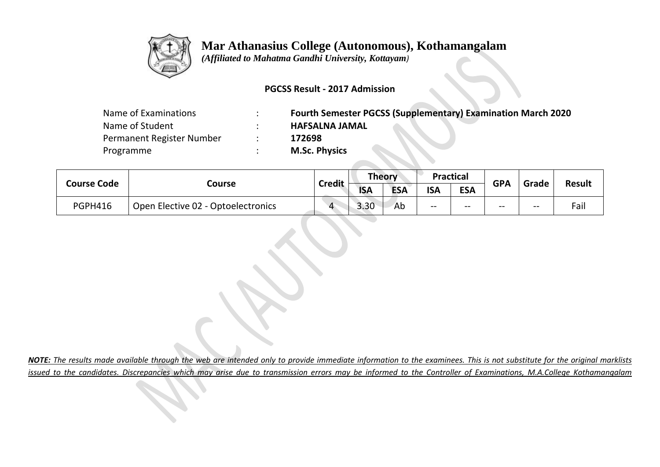

# **Mar Athanasius College (Autonomous), Kothamangalam**

 *(Affiliated to Mahatma Gandhi University, Kottayam)*

### **PGCSS Result - 2017 Admission**

| Name of Examinations      | <b>Fourth Semester PGCSS (Supplementary) Examination March 2020</b> |
|---------------------------|---------------------------------------------------------------------|
| Name of Student           | <b>HAFSALNA JAMAL</b>                                               |
| Permanent Register Number | 172698                                                              |
| Programme                 | <b>M.Sc. Physics</b>                                                |
|                           |                                                                     |

| <b>Course Code</b> |                                    |                    | Theory     |            | <b>Practical</b> |            | <b>GPA</b> |       |               |
|--------------------|------------------------------------|--------------------|------------|------------|------------------|------------|------------|-------|---------------|
|                    | Course                             | <b>Credit</b>      | <b>ISA</b> | <b>ESA</b> | <b>ISA</b>       | <b>ESA</b> |            | Grade | <b>Result</b> |
| <b>PGPH416</b>     | Open Elective 02 - Optoelectronics | $\mathbf{\Lambda}$ | 3.30       | Ab         | $- -$            | $- -$      | --         | $- -$ | Fail          |

*NOTE: The results made available through the web are intended only to provide immediate information to the examinees. This is not substitute for the original marklists issued to the candidates. Discrepancies which may arise due to transmission errors may be informed to the Controller of Examinations, M.A.College Kothamangalam*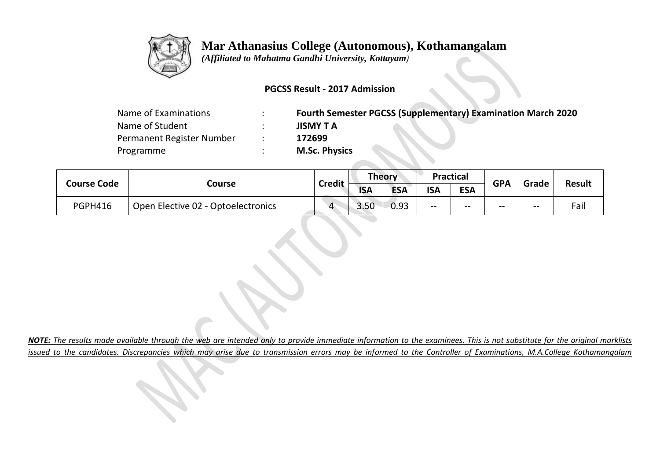

## **Mar Athanasius College (Autonomous), Kothamangalam**

 *(Affiliated to Mahatma Gandhi University, Kottayam)*

#### **PGCSS Result - 2017 Admission**

| Name of Examinations      | $\bullet$ | <b>Fourth Semester PGCSS (Supplementary) Examination March 2020</b> |
|---------------------------|-----------|---------------------------------------------------------------------|
| Name of Student           |           | <b>JISMY T A</b>                                                    |
| Permanent Register Number |           | 172699                                                              |
| Programme                 |           | <b>M.Sc. Physics</b>                                                |

88

**Contract Contract** 

| <b>Course Code</b> |                                    |                    | Theory     |            | <b>Practical</b> |            | <b>GPA</b> |       | <b>Result</b> |
|--------------------|------------------------------------|--------------------|------------|------------|------------------|------------|------------|-------|---------------|
|                    | Course                             | <b>Credit</b>      | <b>ISA</b> | <b>ESA</b> | <b>ISA</b>       | <b>ESA</b> |            | Grade |               |
| <b>PGPH416</b>     | Open Elective 02 - Optoelectronics | $\mathbf{\Lambda}$ | 3.50       | 0.93       | --               | $- -$      | --         | $- -$ | Fail          |

*NOTE: The results made available through the web are intended only to provide immediate information to the examinees. This is not substitute for the original marklists issued to the candidates. Discrepancies which may arise due to transmission errors may be informed to the Controller of Examinations, M.A.College Kothamangalam*